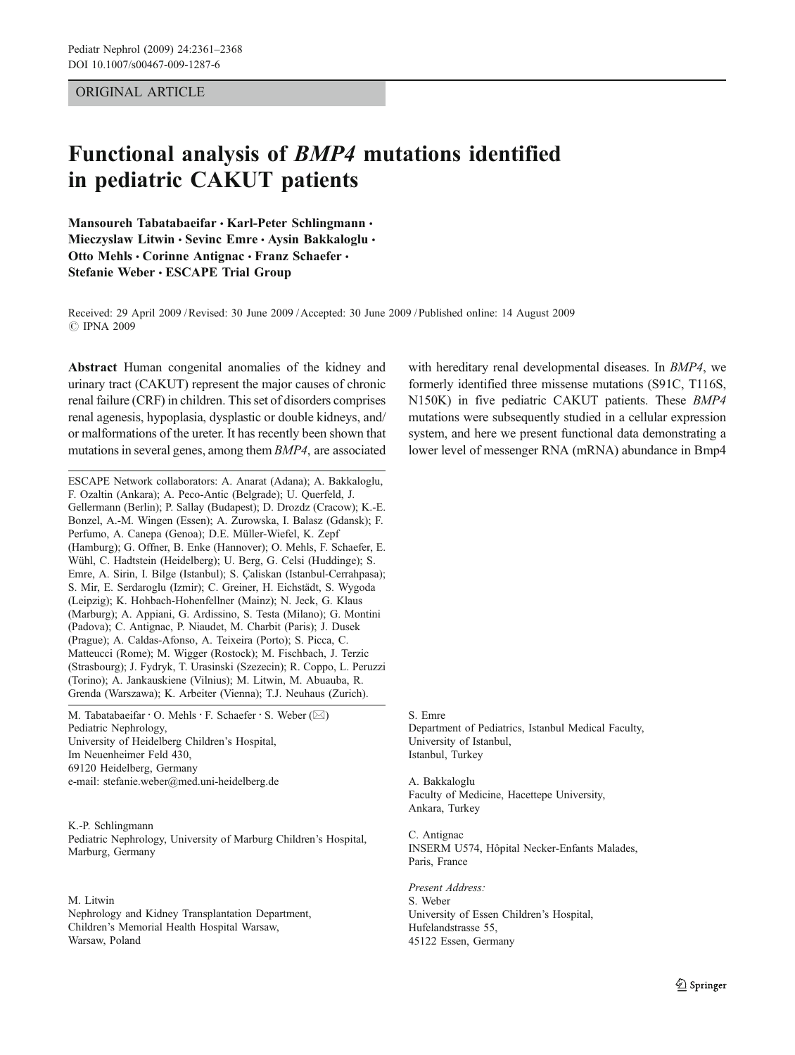# ORIGINAL ARTICLE

# Functional analysis of BMP4 mutations identified in pediatric CAKUT patients

Mansoureh Tabatabaeifar · Karl-Peter Schlingmann · Mieczyslaw Litwin · Sevinc Emre · Aysin Bakkaloglu · Otto Mehls • Corinne Antignac • Franz Schaefer • Stefanie Weber · ESCAPE Trial Group

Received: 29 April 2009 /Revised: 30 June 2009 /Accepted: 30 June 2009 / Published online: 14 August 2009 *#* IPNA 2009

Abstract Human congenital anomalies of the kidney and urinary tract (CAKUT) represent the major causes of chronic renal failure (CRF) in children. This set of disorders comprises renal agenesis, hypoplasia, dysplastic or double kidneys, and/ or malformations of the ureter. It has recently been shown that mutations in several genes, among them BMP4, are associated

ESCAPE Network collaborators: A. Anarat (Adana); A. Bakkaloglu, F. Ozaltin (Ankara); A. Peco-Antic (Belgrade); U. Querfeld, J. Gellermann (Berlin); P. Sallay (Budapest); D. Drozdz (Cracow); K.-E. Bonzel, A.-M. Wingen (Essen); A. Zurowska, I. Balasz (Gdansk); F. Perfumo, A. Canepa (Genoa); D.E. Müller-Wiefel, K. Zepf (Hamburg); G. Offner, B. Enke (Hannover); O. Mehls, F. Schaefer, E. Wühl, C. Hadtstein (Heidelberg); U. Berg, G. Celsi (Huddinge); S. Emre, A. Sirin, I. Bilge (Istanbul); S. Çaliskan (Istanbul-Cerrahpasa); S. Mir, E. Serdaroglu (Izmir); C. Greiner, H. Eichstädt, S. Wygoda (Leipzig); K. Hohbach-Hohenfellner (Mainz); N. Jeck, G. Klaus (Marburg); A. Appiani, G. Ardissino, S. Testa (Milano); G. Montini (Padova); C. Antignac, P. Niaudet, M. Charbit (Paris); J. Dusek (Prague); A. Caldas-Afonso, A. Teixeira (Porto); S. Picca, C. Matteucci (Rome); M. Wigger (Rostock); M. Fischbach, J. Terzic (Strasbourg); J. Fydryk, T. Urasinski (Szezecin); R. Coppo, L. Peruzzi (Torino); A. Jankauskiene (Vilnius); M. Litwin, M. Abuauba, R. Grenda (Warszawa); K. Arbeiter (Vienna); T.J. Neuhaus (Zurich).

M. Tabatabaeifar · O. Mehls · F. Schaefer · S. Weber ( $\boxtimes$ ) Pediatric Nephrology, University of Heidelberg Children's Hospital, Im Neuenheimer Feld 430, 69120 Heidelberg, Germany e-mail: stefanie.weber@med.uni-heidelberg.de

K.-P. Schlingmann Pediatric Nephrology, University of Marburg Children's Hospital, Marburg, Germany

## M. Litwin

Nephrology and Kidney Transplantation Department, Children's Memorial Health Hospital Warsaw, Warsaw, Poland

with hereditary renal developmental diseases. In *BMP4*, we formerly identified three missense mutations (S91C, T116S, N150K) in five pediatric CAKUT patients. These BMP4 mutations were subsequently studied in a cellular expression system, and here we present functional data demonstrating a lower level of messenger RNA (mRNA) abundance in Bmp4

S. Emre Department of Pediatrics, Istanbul Medical Faculty, University of Istanbul, Istanbul, Turkey

A. Bakkaloglu Faculty of Medicine, Hacettepe University, Ankara, Turkey

C. Antignac INSERM U574, Hôpital Necker-Enfants Malades, Paris, France

Present Address: S. Weber University of Essen Children's Hospital, Hufelandstrasse 55, 45122 Essen, Germany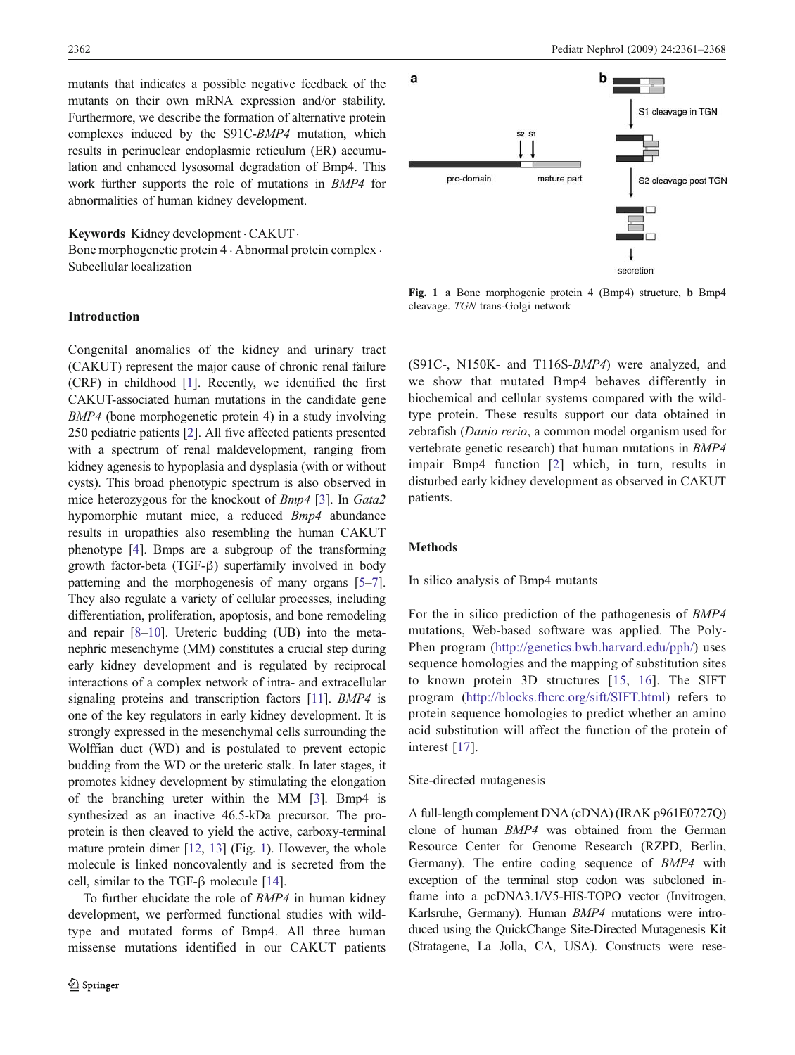mutants that indicates a possible negative feedback of the mutants on their own mRNA expression and/or stability. Furthermore, we describe the formation of alternative protein complexes induced by the S91C-BMP4 mutation, which results in perinuclear endoplasmic reticulum (ER) accumulation and enhanced lysosomal degradation of Bmp4. This work further supports the role of mutations in BMP4 for abnormalities of human kidney development.

## Keywords Kidney development . CAKUT.

Bone morphogenetic protein 4 . Abnormal protein complex . Subcellular localization

# Introduction

Congenital anomalies of the kidney and urinary tract (CAKUT) represent the major cause of chronic renal failure (CRF) in childhood [\[1\]](#page-7-0). Recently, we identified the first CAKUT-associated human mutations in the candidate gene BMP4 (bone morphogenetic protein 4) in a study involving 250 pediatric patients [\[2](#page-7-0)]. All five affected patients presented with a spectrum of renal maldevelopment, ranging from kidney agenesis to hypoplasia and dysplasia (with or without cysts). This broad phenotypic spectrum is also observed in mice heterozygous for the knockout of Bmp4 [\[3](#page-7-0)]. In Gata2 hypomorphic mutant mice, a reduced Bmp4 abundance results in uropathies also resembling the human CAKUT phenotype [[4\]](#page-7-0). Bmps are a subgroup of the transforming growth factor-beta (TGF-β) superfamily involved in body patterning and the morphogenesis of many organs [[5](#page-7-0)–[7\]](#page-7-0). They also regulate a variety of cellular processes, including differentiation, proliferation, apoptosis, and bone remodeling and repair [[8](#page-7-0)–[10](#page-7-0)]. Ureteric budding (UB) into the metanephric mesenchyme (MM) constitutes a crucial step during early kidney development and is regulated by reciprocal interactions of a complex network of intra- and extracellular signaling proteins and transcription factors [\[11\]](#page-7-0). BMP4 is one of the key regulators in early kidney development. It is strongly expressed in the mesenchymal cells surrounding the Wolffian duct (WD) and is postulated to prevent ectopic budding from the WD or the ureteric stalk. In later stages, it promotes kidney development by stimulating the elongation of the branching ureter within the MM [\[3](#page-7-0)]. Bmp4 is synthesized as an inactive 46.5-kDa precursor. The proprotein is then cleaved to yield the active, carboxy-terminal mature protein dimer [\[12,](#page-7-0) [13\]](#page-7-0) (Fig. 1). However, the whole molecule is linked noncovalently and is secreted from the cell, similar to the TGF-β molecule [[14](#page-7-0)].

To further elucidate the role of BMP4 in human kidney development, we performed functional studies with wildtype and mutated forms of Bmp4. All three human missense mutations identified in our CAKUT patients



Fig. 1 a Bone morphogenic protein 4 (Bmp4) structure, b Bmp4 cleavage. TGN trans-Golgi network

(S91C-, N150K- and T116S-BMP4) were analyzed, and we show that mutated Bmp4 behaves differently in biochemical and cellular systems compared with the wildtype protein. These results support our data obtained in zebrafish (Danio rerio, a common model organism used for vertebrate genetic research) that human mutations in BMP4 impair Bmp4 function [\[2\]](#page-7-0) which, in turn, results in disturbed early kidney development as observed in CAKUT patients.

#### Methods

## In silico analysis of Bmp4 mutants

For the in silico prediction of the pathogenesis of BMP4 mutations, Web-based software was applied. The Poly-Phen program ([http://genetics.bwh.harvard.edu/pph/\)](http://genetics.bwh.harvard.edu/pph/) uses sequence homologies and the mapping of substitution sites to known protein 3D structures [[15](#page-7-0), [16\]](#page-7-0). The SIFT program [\(http://blocks.fhcrc.org/sift/SIFT.html\)](http://blocks.fhcrc.org/sift/SIFT.html) refers to protein sequence homologies to predict whether an amino acid substitution will affect the function of the protein of interest [\[17\]](#page-7-0).

# Site-directed mutagenesis

A full-length complement DNA (cDNA) (IRAK p961E0727Q) clone of human BMP4 was obtained from the German Resource Center for Genome Research (RZPD, Berlin, Germany). The entire coding sequence of BMP4 with exception of the terminal stop codon was subcloned inframe into a pcDNA3.1/V5-HIS-TOPO vector (Invitrogen, Karlsruhe, Germany). Human BMP4 mutations were introduced using the QuickChange Site-Directed Mutagenesis Kit (Stratagene, La Jolla, CA, USA). Constructs were rese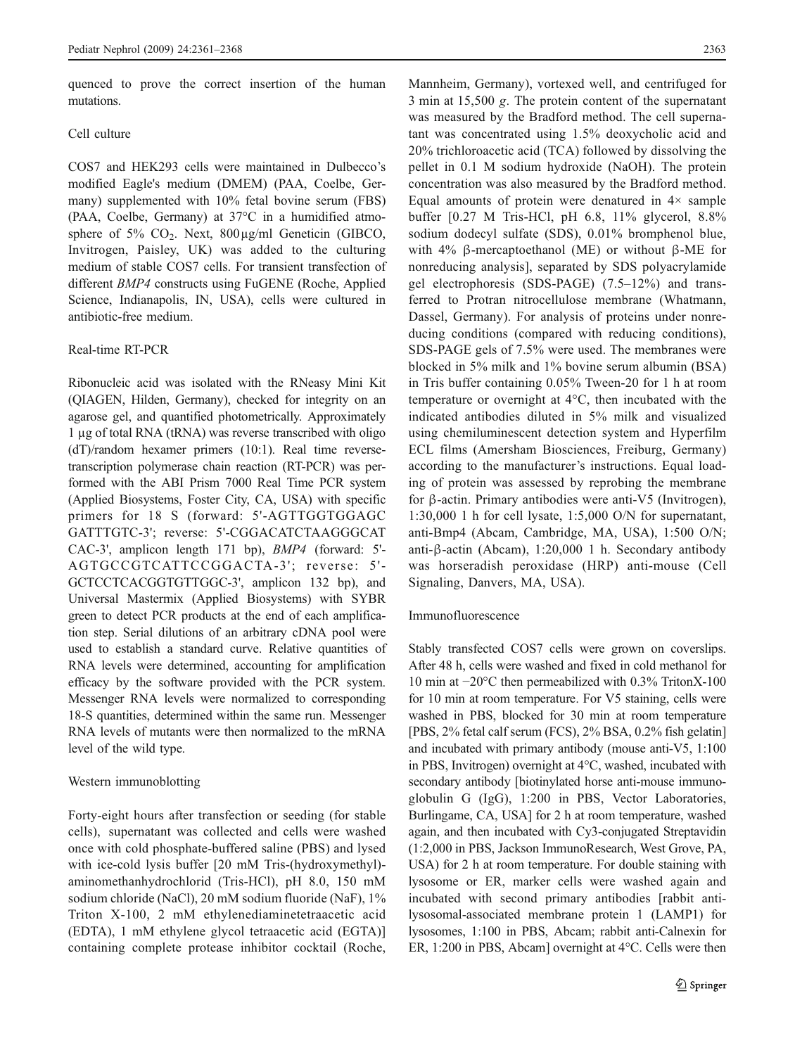quenced to prove the correct insertion of the human mutations.

# Cell culture

COS7 and HEK293 cells were maintained in Dulbecco's modified Eagle's medium (DMEM) (PAA, Coelbe, Germany) supplemented with 10% fetal bovine serum (FBS) (PAA, Coelbe, Germany) at 37°C in a humidified atmosphere of 5%  $CO<sub>2</sub>$ . Next, 800µg/ml Geneticin (GIBCO, Invitrogen, Paisley, UK) was added to the culturing medium of stable COS7 cells. For transient transfection of different BMP4 constructs using FuGENE (Roche, Applied Science, Indianapolis, IN, USA), cells were cultured in antibiotic-free medium.

## Real-time RT-PCR

Ribonucleic acid was isolated with the RNeasy Mini Kit (QIAGEN, Hilden, Germany), checked for integrity on an agarose gel, and quantified photometrically. Approximately 1 µg of total RNA (tRNA) was reverse transcribed with oligo (dT)/random hexamer primers (10:1). Real time reversetranscription polymerase chain reaction (RT-PCR) was performed with the ABI Prism 7000 Real Time PCR system (Applied Biosystems, Foster City, CA, USA) with specific primers for 18 S (forward: 5'-AGTTGGTGGAGC GATTTGTC-3'; reverse: 5'-CGGACATCTAAGGGCAT CAC-3', amplicon length 171 bp), BMP4 (forward: 5'- AGTGCCGTCATTCCGGACTA-3'; reverse: 5'-GCTCCTCACGGTGTTGGC-3', amplicon 132 bp), and Universal Mastermix (Applied Biosystems) with SYBR green to detect PCR products at the end of each amplification step. Serial dilutions of an arbitrary cDNA pool were used to establish a standard curve. Relative quantities of RNA levels were determined, accounting for amplification efficacy by the software provided with the PCR system. Messenger RNA levels were normalized to corresponding 18-S quantities, determined within the same run. Messenger RNA levels of mutants were then normalized to the mRNA level of the wild type.

### Western immunoblotting

Forty-eight hours after transfection or seeding (for stable cells), supernatant was collected and cells were washed once with cold phosphate-buffered saline (PBS) and lysed with ice-cold lysis buffer [20 mM Tris-(hydroxymethyl) aminomethanhydrochlorid (Tris-HCl), pH 8.0, 150 mM sodium chloride (NaCl), 20 mM sodium fluoride (NaF), 1% Triton X-100, 2 mM ethylenediaminetetraacetic acid (EDTA), 1 mM ethylene glycol tetraacetic acid (EGTA)] containing complete protease inhibitor cocktail (Roche, Mannheim, Germany), vortexed well, and centrifuged for 3 min at 15,500 g. The protein content of the supernatant was measured by the Bradford method. The cell supernatant was concentrated using 1.5% deoxycholic acid and 20% trichloroacetic acid (TCA) followed by dissolving the pellet in 0.1 M sodium hydroxide (NaOH). The protein concentration was also measured by the Bradford method. Equal amounts of protein were denatured in  $4\times$  sample buffer [0.27 M Tris-HCl, pH 6.8, 11% glycerol, 8.8% sodium dodecyl sulfate (SDS), 0.01% bromphenol blue, with 4% β-mercaptoethanol (ME) or without β-ME for nonreducing analysis], separated by SDS polyacrylamide gel electrophoresis (SDS-PAGE) (7.5–12%) and transferred to Protran nitrocellulose membrane (Whatmann, Dassel, Germany). For analysis of proteins under nonreducing conditions (compared with reducing conditions), SDS-PAGE gels of 7.5% were used. The membranes were blocked in 5% milk and 1% bovine serum albumin (BSA) in Tris buffer containing 0.05% Tween-20 for 1 h at room temperature or overnight at 4°C, then incubated with the indicated antibodies diluted in 5% milk and visualized using chemiluminescent detection system and Hyperfilm ECL films (Amersham Biosciences, Freiburg, Germany) according to the manufacturer's instructions. Equal loading of protein was assessed by reprobing the membrane for β-actin. Primary antibodies were anti-V5 (Invitrogen), 1:30,000 1 h for cell lysate, 1:5,000 O/N for supernatant, anti-Bmp4 (Abcam, Cambridge, MA, USA), 1:500 O/N; anti-β-actin (Abcam), 1:20,000 1 h. Secondary antibody was horseradish peroxidase (HRP) anti-mouse (Cell Signaling, Danvers, MA, USA).

## Immunofluorescence

Stably transfected COS7 cells were grown on coverslips. After 48 h, cells were washed and fixed in cold methanol for 10 min at −20°C then permeabilized with 0.3% TritonX-100 for 10 min at room temperature. For V5 staining, cells were washed in PBS, blocked for 30 min at room temperature [PBS, 2% fetal calf serum (FCS), 2% BSA, 0.2% fish gelatin] and incubated with primary antibody (mouse anti-V5, 1:100 in PBS, Invitrogen) overnight at 4°C, washed, incubated with secondary antibody [biotinylated horse anti-mouse immunoglobulin G (IgG), 1:200 in PBS, Vector Laboratories, Burlingame, CA, USA] for 2 h at room temperature, washed again, and then incubated with Cy3-conjugated Streptavidin (1:2,000 in PBS, Jackson ImmunoResearch, West Grove, PA, USA) for 2 h at room temperature. For double staining with lysosome or ER, marker cells were washed again and incubated with second primary antibodies [rabbit antilysosomal-associated membrane protein 1 (LAMP1) for lysosomes, 1:100 in PBS, Abcam; rabbit anti-Calnexin for ER, 1:200 in PBS, Abcam] overnight at 4°C. Cells were then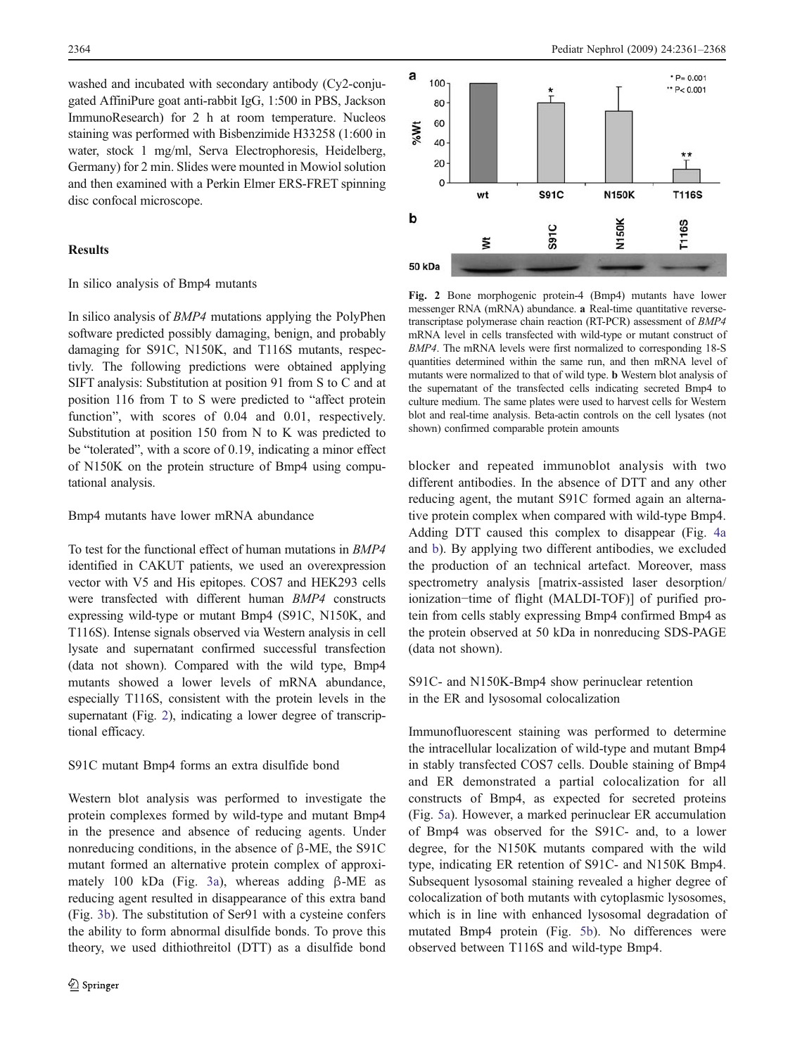washed and incubated with secondary antibody (Cy2-conjugated AffiniPure goat anti-rabbit IgG, 1:500 in PBS, Jackson ImmunoResearch) for 2 h at room temperature. Nucleos staining was performed with Bisbenzimide H33258 (1:600 in water, stock 1 mg/ml, Serva Electrophoresis, Heidelberg, Germany) for 2 min. Slides were mounted in Mowiol solution and then examined with a Perkin Elmer ERS-FRET spinning disc confocal microscope.

# Results

#### In silico analysis of Bmp4 mutants

In silico analysis of BMP4 mutations applying the PolyPhen software predicted possibly damaging, benign, and probably damaging for S91C, N150K, and T116S mutants, respectivly. The following predictions were obtained applying SIFT analysis: Substitution at position 91 from S to C and at position 116 from T to S were predicted to "affect protein function", with scores of  $0.04$  and  $0.01$ , respectively. Substitution at position 150 from N to K was predicted to be "tolerated", with a score of 0.19, indicating a minor effect of N150K on the protein structure of Bmp4 using computational analysis.

## Bmp4 mutants have lower mRNA abundance

To test for the functional effect of human mutations in BMP4 identified in CAKUT patients, we used an overexpression vector with V5 and His epitopes. COS7 and HEK293 cells were transfected with different human BMP4 constructs expressing wild-type or mutant Bmp4 (S91C, N150K, and T116S). Intense signals observed via Western analysis in cell lysate and supernatant confirmed successful transfection (data not shown). Compared with the wild type, Bmp4 mutants showed a lower levels of mRNA abundance, especially T116S, consistent with the protein levels in the supernatant (Fig. 2), indicating a lower degree of transcriptional efficacy.

### S91C mutant Bmp4 forms an extra disulfide bond

Western blot analysis was performed to investigate the protein complexes formed by wild-type and mutant Bmp4 in the presence and absence of reducing agents. Under nonreducing conditions, in the absence of β-ME, the S91C mutant formed an alternative protein complex of approximately 100 kDa (Fig. [3a](#page-4-0)), whereas adding β-ME as reducing agent resulted in disappearance of this extra band (Fig. [3b\)](#page-4-0). The substitution of Ser91 with a cysteine confers the ability to form abnormal disulfide bonds. To prove this theory, we used dithiothreitol (DTT) as a disulfide bond



Fig. 2 Bone morphogenic protein-4 (Bmp4) mutants have lower messenger RNA (mRNA) abundance. a Real-time quantitative reversetranscriptase polymerase chain reaction (RT-PCR) assessment of BMP4 mRNA level in cells transfected with wild-type or mutant construct of BMP4. The mRNA levels were first normalized to corresponding 18-S quantities determined within the same run, and then mRNA level of mutants were normalized to that of wild type. b Western blot analysis of the supernatant of the transfected cells indicating secreted Bmp4 to culture medium. The same plates were used to harvest cells for Western blot and real-time analysis. Beta-actin controls on the cell lysates (not shown) confirmed comparable protein amounts

blocker and repeated immunoblot analysis with two different antibodies. In the absence of DTT and any other reducing agent, the mutant S91C formed again an alternative protein complex when compared with wild-type Bmp4. Adding DTT caused this complex to disappear (Fig. [4a](#page-4-0) and [b\)](#page-4-0). By applying two different antibodies, we excluded the production of an technical artefact. Moreover, mass spectrometry analysis [matrix-assisted laser desorption/ ionization−time of flight (MALDI-TOF)] of purified protein from cells stably expressing Bmp4 confirmed Bmp4 as the protein observed at 50 kDa in nonreducing SDS-PAGE (data not shown).

S91C- and N150K-Bmp4 show perinuclear retention in the ER and lysosomal colocalization

Immunofluorescent staining was performed to determine the intracellular localization of wild-type and mutant Bmp4 in stably transfected COS7 cells. Double staining of Bmp4 and ER demonstrated a partial colocalization for all constructs of Bmp4, as expected for secreted proteins (Fig. [5a](#page-5-0)). However, a marked perinuclear ER accumulation of Bmp4 was observed for the S91C- and, to a lower degree, for the N150K mutants compared with the wild type, indicating ER retention of S91C- and N150K Bmp4. Subsequent lysosomal staining revealed a higher degree of colocalization of both mutants with cytoplasmic lysosomes, which is in line with enhanced lysosomal degradation of mutated Bmp4 protein (Fig. [5b\)](#page-5-0). No differences were observed between T116S and wild-type Bmp4.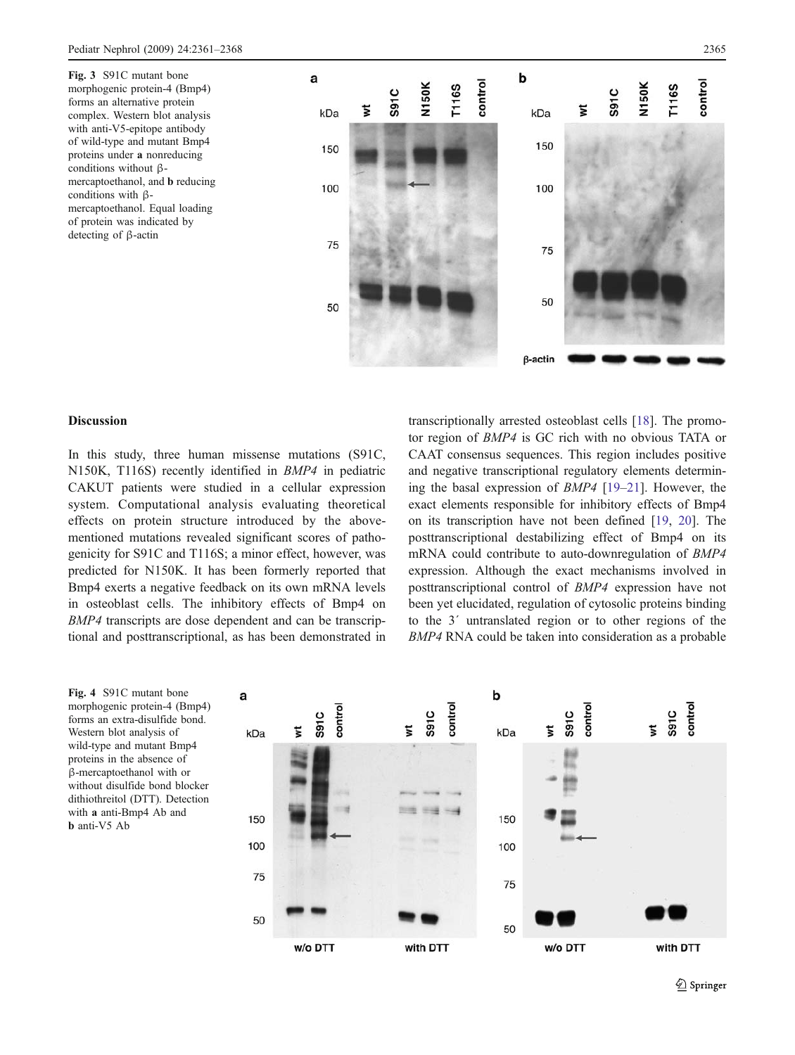<span id="page-4-0"></span>Fig. 3 S91C mutant bone morphogenic protein-4 (Bmp4) forms an alternative protein complex. Western blot analysis with anti-V5-epitope antibody of wild-type and mutant Bmp4 proteins under a nonreducing conditions without βmercaptoethanol, and b reducing conditions with βmercaptoethanol. Equal loading of protein was indicated by detecting of β-actin



# Discussion

In this study, three human missense mutations (S91C, N150K, T116S) recently identified in BMP4 in pediatric CAKUT patients were studied in a cellular expression system. Computational analysis evaluating theoretical effects on protein structure introduced by the abovementioned mutations revealed significant scores of pathogenicity for S91C and T116S; a minor effect, however, was predicted for N150K. It has been formerly reported that Bmp4 exerts a negative feedback on its own mRNA levels in osteoblast cells. The inhibitory effects of Bmp4 on BMP4 transcripts are dose dependent and can be transcriptional and posttranscriptional, as has been demonstrated in transcriptionally arrested osteoblast cells [[18\]](#page-7-0). The promotor region of BMP4 is GC rich with no obvious TATA or CAAT consensus sequences. This region includes positive and negative transcriptional regulatory elements determining the basal expression of BMP4 [[19](#page-7-0)–[21\]](#page-7-0). However, the exact elements responsible for inhibitory effects of Bmp4 on its transcription have not been defined [\[19](#page-7-0), [20](#page-7-0)]. The posttranscriptional destabilizing effect of Bmp4 on its mRNA could contribute to auto-downregulation of BMP4 expression. Although the exact mechanisms involved in posttranscriptional control of BMP4 expression have not been yet elucidated, regulation of cytosolic proteins binding to the 3´ untranslated region or to other regions of the BMP4 RNA could be taken into consideration as a probable

Fig. 4 S91C mutant bone morphogenic protein-4 (Bmp4) forms an extra-disulfide bond. Western blot analysis of wild-type and mutant Bmp4 proteins in the absence of β-mercaptoethanol with or without disulfide bond blocker dithiothreitol (DTT). Detection with a anti-Bmp4 Ab and b anti-V5 Ab

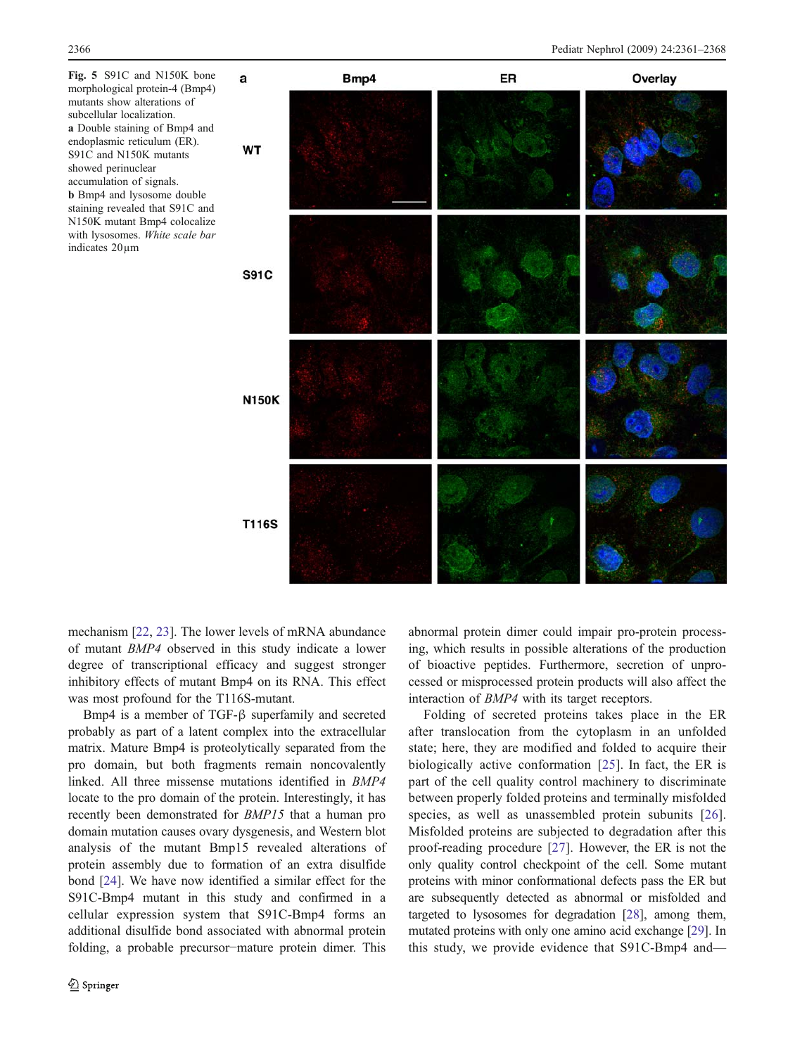<span id="page-5-0"></span>Fig. 5 S91C and N150K bone morphological protein-4 (Bmp4) mutants show alterations of subcellular localization. a Double staining of Bmp4 and endoplasmic reticulum (ER). S91C and N150K mutants showed perinuclear accumulation of signals. b Bmp4 and lysosome double staining revealed that S91C and N150K mutant Bmp4 colocalize with lysosomes. White scale bar indicates 20µm



mechanism [[22,](#page-7-0) [23](#page-7-0)]. The lower levels of mRNA abundance of mutant BMP4 observed in this study indicate a lower degree of transcriptional efficacy and suggest stronger inhibitory effects of mutant Bmp4 on its RNA. This effect was most profound for the T116S-mutant.

Bmp4 is a member of TGF-β superfamily and secreted probably as part of a latent complex into the extracellular matrix. Mature Bmp4 is proteolytically separated from the pro domain, but both fragments remain noncovalently linked. All three missense mutations identified in BMP4 locate to the pro domain of the protein. Interestingly, it has recently been demonstrated for BMP15 that a human pro domain mutation causes ovary dysgenesis, and Western blot analysis of the mutant Bmp15 revealed alterations of protein assembly due to formation of an extra disulfide bond [[24\]](#page-7-0). We have now identified a similar effect for the S91C-Bmp4 mutant in this study and confirmed in a cellular expression system that S91C-Bmp4 forms an additional disulfide bond associated with abnormal protein folding, a probable precursor−mature protein dimer. This

abnormal protein dimer could impair pro-protein processing, which results in possible alterations of the production of bioactive peptides. Furthermore, secretion of unprocessed or misprocessed protein products will also affect the interaction of BMP4 with its target receptors.

Folding of secreted proteins takes place in the ER after translocation from the cytoplasm in an unfolded state; here, they are modified and folded to acquire their biologically active conformation [\[25](#page-7-0)]. In fact, the ER is part of the cell quality control machinery to discriminate between properly folded proteins and terminally misfolded species, as well as unassembled protein subunits [\[26](#page-7-0)]. Misfolded proteins are subjected to degradation after this proof-reading procedure [[27\]](#page-7-0). However, the ER is not the only quality control checkpoint of the cell. Some mutant proteins with minor conformational defects pass the ER but are subsequently detected as abnormal or misfolded and targeted to lysosomes for degradation [\[28](#page-7-0)], among them, mutated proteins with only one amino acid exchange [\[29\]](#page-7-0). In this study, we provide evidence that S91C-Bmp4 and—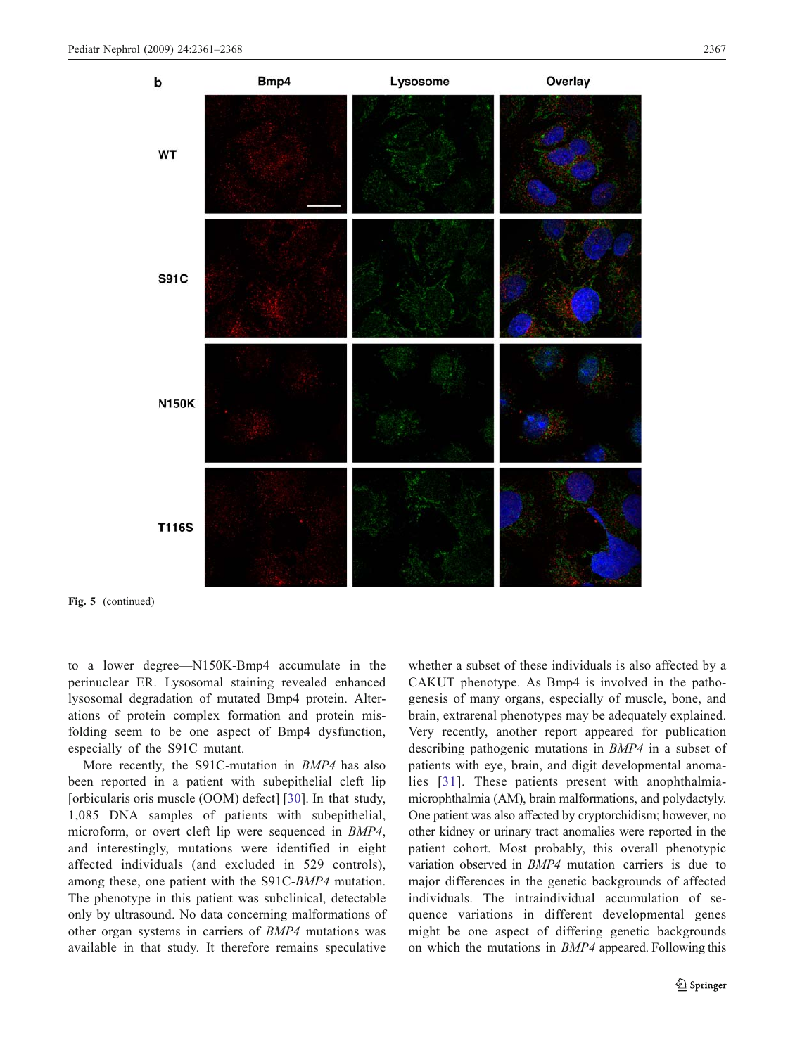

Fig. 5 (continued)

to a lower degree—N150K-Bmp4 accumulate in the perinuclear ER. Lysosomal staining revealed enhanced lysosomal degradation of mutated Bmp4 protein. Alterations of protein complex formation and protein misfolding seem to be one aspect of Bmp4 dysfunction, especially of the S91C mutant.

More recently, the S91C-mutation in *BMP4* has also been reported in a patient with subepithelial cleft lip [orbicularis oris muscle (OOM) defect] [\[30\]](#page-7-0). In that study, 1,085 DNA samples of patients with subepithelial, microform, or overt cleft lip were sequenced in BMP4, and interestingly, mutations were identified in eight affected individuals (and excluded in 529 controls), among these, one patient with the S91C-BMP4 mutation. The phenotype in this patient was subclinical, detectable only by ultrasound. No data concerning malformations of other organ systems in carriers of BMP4 mutations was available in that study. It therefore remains speculative

whether a subset of these individuals is also affected by a CAKUT phenotype. As Bmp4 is involved in the pathogenesis of many organs, especially of muscle, bone, and brain, extrarenal phenotypes may be adequately explained. Very recently, another report appeared for publication describing pathogenic mutations in BMP4 in a subset of patients with eye, brain, and digit developmental anomalies [[31](#page-7-0)]. These patients present with anophthalmiamicrophthalmia (AM), brain malformations, and polydactyly. One patient was also affected by cryptorchidism; however, no other kidney or urinary tract anomalies were reported in the patient cohort. Most probably, this overall phenotypic variation observed in BMP4 mutation carriers is due to major differences in the genetic backgrounds of affected individuals. The intraindividual accumulation of sequence variations in different developmental genes might be one aspect of differing genetic backgrounds on which the mutations in BMP4 appeared. Following this